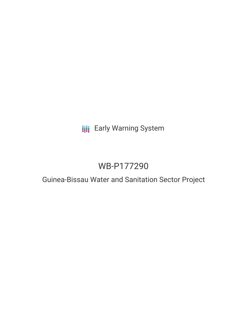## **III** Early Warning System

# WB-P177290

## Guinea-Bissau Water and Sanitation Sector Project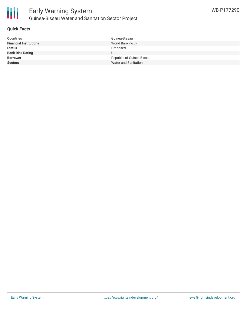

#### **Quick Facts**

| <b>Countries</b>              | Guinea-Bissau             |
|-------------------------------|---------------------------|
| <b>Financial Institutions</b> | World Bank (WB)           |
| <b>Status</b>                 | Proposed                  |
| <b>Bank Risk Rating</b>       | U                         |
| <b>Borrower</b>               | Republic of Guinea Bissau |
| <b>Sectors</b>                | Water and Sanitation      |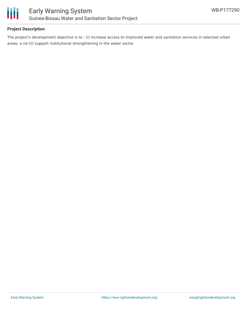

### **Project Description**

The project's development objective is to : (i) increase access to improved water and sanitation services in selected urban areas; a nd (ii) support institutional strengthening in the water sector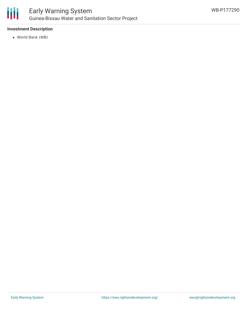

### **Investment Description**

World Bank (WB)